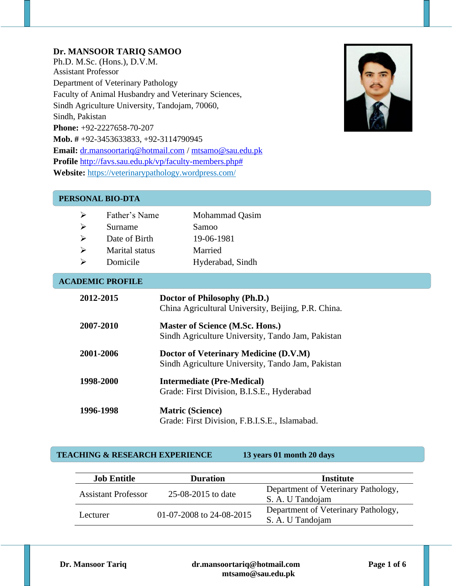## **Dr. MANSOOR TARIQ SAMOO**

Ph.D. M.Sc. (Hons.), D.V.M. Assistant Professor Department of Veterinary Pathology Faculty of Animal Husbandry and Veterinary Sciences, Sindh Agriculture University, Tandojam, 70060, Sindh, Pakistan **Phone:** +92-2227658-70-207 **Mob. #** +92-3453633833, +92-3114790945 **Email:** [dr.mansoortariq@hotmail.com](mailto:dr.mansoortariq@hotmail.com) / [mtsamo@sau.edu.pk](mailto:mtsamo@sau.edu.pk) **Profile** [http://favs.sau.edu.pk/vp/faculty-members.php#](http://favs.sau.edu.pk/vp/faculty-members.php) **Website:** <https://veterinarypathology.wordpress.com/>



#### **PERSONAL BIO-DTA**

| ↘ | Father's Name  | Mohammad Qasim   |
|---|----------------|------------------|
|   | Surname        | Samoo            |
|   | Date of Birth  | 19-06-1981       |
| ↘ | Marital status | Married          |
|   | Domicile       | Hyderabad, Sindh |
|   |                |                  |

#### **ACADEMIC PROFILE**

| 2012-2015 | Doctor of Philosophy (Ph.D.)<br>China Agricultural University, Beijing, P.R. China.         |
|-----------|---------------------------------------------------------------------------------------------|
| 2007-2010 | <b>Master of Science (M.Sc. Hons.)</b><br>Sindh Agriculture University, Tando Jam, Pakistan |
| 2001-2006 | Doctor of Veterinary Medicine (D.V.M)<br>Sindh Agriculture University, Tando Jam, Pakistan  |
| 1998-2000 | <b>Intermediate (Pre-Medical)</b><br>Grade: First Division, B.I.S.E., Hyderabad             |
| 1996-1998 | <b>Matric (Science)</b><br>Grade: First Division, F.B.I.S.E., Islamabad.                    |

#### **TEACHING & RESEARCH EXPERIENCE 13 years 01 month 20 days**

| <b>Job Entitle</b>                        | <b>Duration</b>          | Institute                                               |  |
|-------------------------------------------|--------------------------|---------------------------------------------------------|--|
| 25-08-2015 to date<br>Assistant Professor |                          | Department of Veterinary Pathology,<br>S. A. U Tandojam |  |
| Lecturer                                  | 01-07-2008 to 24-08-2015 | Department of Veterinary Pathology,<br>S. A. U Tandojam |  |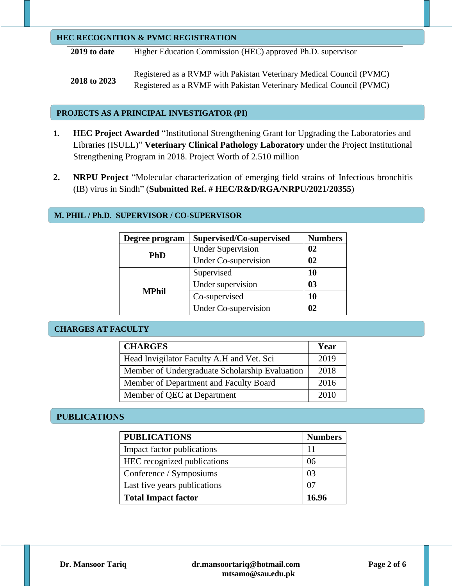#### **HEC RECOGNITION & PVMC REGISTRATION**

**2019 to date** Higher Education Commission (HEC) approved Ph.D. supervisor

**2018 to 2023** Registered as a RVMP with Pakistan Veterinary Medical Council (PVMC) Registered as a RVMF with Pakistan Veterinary Medical Council (PVMC)

### **PROJECTS AS A PRINCIPAL INVESTIGATOR (PI)**

- **1. HEC Project Awarded** "Institutional Strengthening Grant for Upgrading the Laboratories and Libraries (ISULL)" **Veterinary Clinical Pathology Laboratory** under the Project Institutional Strengthening Program in 2018. Project Worth of 2.510 million
- **2. NRPU Project** "Molecular characterization of emerging field strains of Infectious bronchitis (IB) virus in Sindh" (**Submitted Ref. # HEC/R&D/RGA/NRPU/2021/20355**)

# **M. PHIL / Ph.D. SUPERVISOR / CO-SUPERVISOR**

| Degree program | Supervised/Co-supervised    | <b>Numbers</b> |
|----------------|-----------------------------|----------------|
|                | <b>Under Supervision</b>    | $\mathbf{02}$  |
| <b>PhD</b>     | <b>Under Co-supervision</b> | 02             |
|                | Supervised                  | 10             |
| <b>MPhil</b>   | Under supervision           | 0 <sub>3</sub> |
|                | Co-supervised               | 10             |
|                | <b>Under Co-supervision</b> | $\Omega$       |

### **CHARGES AT FACULTY**

| <b>CHARGES</b>                                 | Year |
|------------------------------------------------|------|
| Head Invigilator Faculty A.H and Vet. Sci      | 2019 |
| Member of Undergraduate Scholarship Evaluation | 2018 |
| Member of Department and Faculty Board         | 2016 |
| Member of QEC at Department                    | 2010 |

# **PUBLICATIONS**

| <b>PUBLICATIONS</b>          | <b>Numbers</b> |
|------------------------------|----------------|
| Impact factor publications   |                |
| HEC recognized publications  | 06             |
| Conference / Symposiums      | 03             |
| Last five years publications |                |
| <b>Total Impact factor</b>   | 16.96          |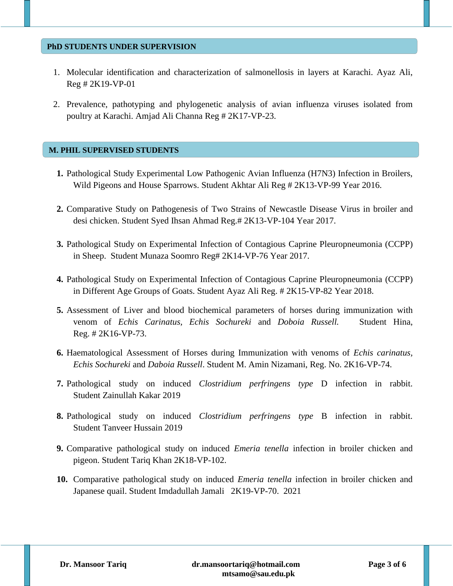### **PhD STUDENTS UNDER SUPERVISION**

- 1. Molecular identification and characterization of salmonellosis in layers at Karachi. Ayaz Ali, Reg # 2K19-VP-01
- 2. Prevalence, pathotyping and phylogenetic analysis of avian influenza viruses isolated from poultry at Karachi. Amjad Ali Channa Reg # 2K17-VP-23.

### **M. PHIL SUPERVISED STUDENTS**

- **1.** Pathological Study Experimental Low Pathogenic Avian Influenza (H7N3) Infection in Broilers, Wild Pigeons and House Sparrows. Student Akhtar Ali Reg # 2K13-VP-99 Year 2016.
- **2.** Comparative Study on Pathogenesis of Two Strains of Newcastle Disease Virus in broiler and desi chicken. Student Syed Ihsan Ahmad Reg.# 2K13-VP-104 Year 2017.
- **3.** Pathological Study on Experimental Infection of Contagious Caprine Pleuropneumonia (CCPP) in Sheep. Student Munaza Soomro Reg# 2K14-VP-76 Year 2017.
- **4.** Pathological Study on Experimental Infection of Contagious Caprine Pleuropneumonia (CCPP) in Different Age Groups of Goats. Student Ayaz Ali Reg. # 2K15-VP-82 Year 2018.
- **5.** Assessment of Liver and blood biochemical parameters of horses during immunization with venom of *Echis Carinatus, Echis Sochureki* and *Doboia Russell.* Student Hina, Reg. # 2K16-VP-73.
- **6.** Haematological Assessment of Horses during Immunization with venoms of *Echis carinatus, Echis Sochureki* and *Daboia Russell*. Student M. Amin Nizamani, Reg. No. 2K16-VP-74.
- **7.** Pathological study on induced *Clostridium perfringens type* D infection in rabbit. Student Zainullah Kakar 2019
- **8.** Pathological study on induced *Clostridium perfringens type* B infection in rabbit. Student Tanveer Hussain 2019
- **9.** Comparative pathological study on induced *Emeria tenella* infection in broiler chicken and pigeon. Student Tariq Khan 2K18-VP-102.
- **10.** Comparative pathological study on induced *Emeria tenella* infection in broiler chicken and Japanese quail. Student Imdadullah Jamali 2K19-VP-70. 2021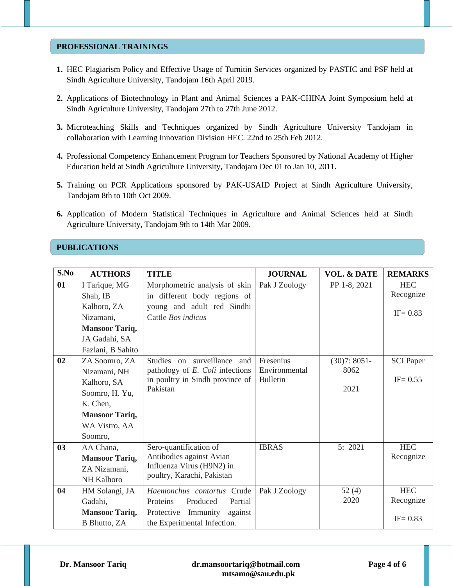### **PROFESSIONAL TRAININGS**

- **1.** HEC Plagiarism Policy and Effective Usage of Turnitin Services organized by PASTIC and PSF held at Sindh Agriculture University, Tandojam 16th April 2019.
- **2.** Applications of Biotechnology in Plant and Animal Sciences a PAK-CHINA Joint Symposium held at Sindh Agriculture University, Tandojam 27th to 27th June 2012.
- **3.** Microteaching Skills and Techniques organized by Sindh Agriculture University Tandojam in collaboration with Learning Innovation Division HEC. 22nd to 25th Feb 2012.
- **4.** Professional Competency Enhancement Program for Teachers Sponsored by National Academy of Higher Education held at Sindh Agriculture University, Tandojam Dec 01 to Jan 10, 2011.
- **5.** Training on PCR Applications sponsored by PAK-USAID Project at Sindh Agriculture University, Tandojam 8th to 10th Oct 2009.
- **6.** Application of Modern Statistical Techniques in Agriculture and Animal Sciences held at Sindh Agriculture University, Tandojam 9th to 14th Mar 2009.

## **PUBLICATIONS**

| S.No | <b>AUTHORS</b>        | <b>TITLE</b>                      | <b>JOURNAL</b>  | <b>VOL. &amp; DATE</b> | <b>REMARKS</b>   |
|------|-----------------------|-----------------------------------|-----------------|------------------------|------------------|
| 01   | I Tarique, MG         | Morphometric analysis of skin     | Pak J Zoology   | PP 1-8, 2021           | <b>HEC</b>       |
|      | Shah, IB              | in different body regions of      |                 |                        | Recognize        |
|      | Kalhoro, ZA           | young and adult red Sindhi        |                 |                        |                  |
|      | Nizamani,             | Cattle <i>Bos indicus</i>         |                 |                        | $IF = 0.83$      |
|      | <b>Mansoor Tariq,</b> |                                   |                 |                        |                  |
|      | JA Gadahi, SA         |                                   |                 |                        |                  |
|      | Fazlani, B Sahito     |                                   |                 |                        |                  |
| 02   | ZA Soomro, ZA         | Studies on surveillance<br>and    | Fresenius       | $(30)7: 8051-$         | <b>SCI</b> Paper |
|      | Nizamani, NH          | pathology of E. Coli infections   | Environmental   | 8062                   |                  |
|      | Kalhoro, SA           | in poultry in Sindh province of   | <b>Bulletin</b> |                        | $IF = 0.55$      |
|      | Soomro, H. Yu,        | Pakistan                          |                 | 2021                   |                  |
|      | K. Chen,              |                                   |                 |                        |                  |
|      | <b>Mansoor Tariq,</b> |                                   |                 |                        |                  |
|      | WA Vistro, AA         |                                   |                 |                        |                  |
|      | Soomro,               |                                   |                 |                        |                  |
| 03   | AA Chana,             | Sero-quantification of            | <b>IBRAS</b>    | 5: 2021                | <b>HEC</b>       |
|      | <b>Mansoor Tariq,</b> | Antibodies against Avian          |                 |                        | Recognize        |
|      | ZA Nizamani,          | Influenza Virus (H9N2) in         |                 |                        |                  |
|      | <b>NH Kalhoro</b>     | poultry, Karachi, Pakistan        |                 |                        |                  |
| 04   | HM Solangi, JA        | Haemonchus contortus Crude        | Pak J Zoology   | 52(4)                  | <b>HEC</b>       |
|      | Gadahi,               | Produced<br>Proteins<br>Partial   |                 | 2020                   | Recognize        |
|      | <b>Mansoor Tariq,</b> | Protective<br>Immunity<br>against |                 |                        |                  |
|      | B Bhutto, ZA          | the Experimental Infection.       |                 |                        | $IF = 0.83$      |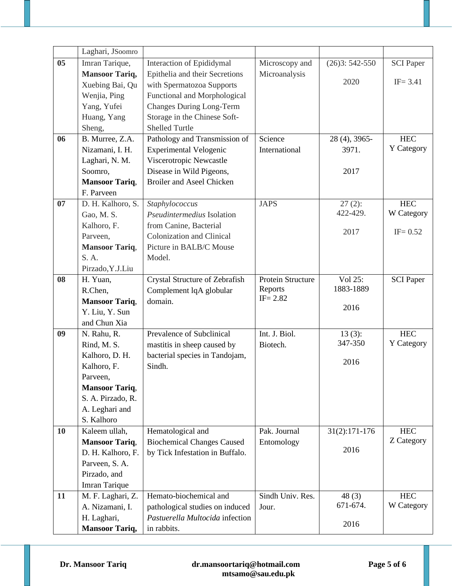|           | Laghari, JSoomro                           |                                   |                   |                   |                  |
|-----------|--------------------------------------------|-----------------------------------|-------------------|-------------------|------------------|
| 05        | Imran Tarique,                             | Interaction of Epididymal         | Microscopy and    | $(26)3:542-550$   | <b>SCI</b> Paper |
|           | <b>Mansoor Tariq,</b>                      | Epithelia and their Secretions    | Microanalysis     |                   |                  |
|           | Xuebing Bai, Qu                            | with Spermatozoa Supports         |                   | 2020              | $IF = 3.41$      |
|           | Wenjia, Ping                               | Functional and Morphological      |                   |                   |                  |
|           | Yang, Yufei                                | <b>Changes During Long-Term</b>   |                   |                   |                  |
|           | Huang, Yang                                | Storage in the Chinese Soft-      |                   |                   |                  |
|           | Sheng,                                     | <b>Shelled Turtle</b>             |                   |                   |                  |
| 06        | B. Murree, Z.A.                            | Pathology and Transmission of     | Science           | 28 (4), 3965-     | <b>HEC</b>       |
|           | Nizamani, I. H.                            | <b>Experimental Velogenic</b>     | International     | 3971.             | Y Category       |
|           | Laghari, N. M.                             | Viscerotropic Newcastle           |                   |                   |                  |
|           | Soomro,                                    | Disease in Wild Pigeons,          |                   | 2017              |                  |
|           | <b>Mansoor Tariq,</b>                      | <b>Broiler and Aseel Chicken</b>  |                   |                   |                  |
|           | F. Parveen                                 |                                   |                   |                   |                  |
| 07        | D. H. Kalhoro, S.                          | Staphylococcus                    | <b>JAPS</b>       | $27(2)$ :         | HEC              |
|           | Gao, M. S.                                 | Pseudintermedius Isolation        |                   | 422-429.          | W Category       |
|           | Kalhoro, F.                                | from Canine, Bacterial            |                   | 2017              | $IF = 0.52$      |
|           | Parveen,                                   | Colonization and Clinical         |                   |                   |                  |
|           | <b>Mansoor Tariq,</b>                      | Picture in BALB/C Mouse           |                   |                   |                  |
|           | S. A.                                      | Model.                            |                   |                   |                  |
|           | Pirzado, Y.J.Liu                           |                                   |                   |                   |                  |
| 08        | H. Yuan,                                   | Crystal Structure of Zebrafish    | Protein Structure | Vol 25:           | <b>SCI</b> Paper |
|           | R.Chen,                                    | Complement lqA globular           | Reports           | 1883-1889         |                  |
|           | <b>Mansoor Tariq,</b>                      | domain.                           | $IF = 2.82$       | 2016              |                  |
|           | Y. Liu, Y. Sun                             |                                   |                   |                   |                  |
|           | and Chun Xia                               |                                   |                   |                   |                  |
| 09        | N. Rahu, R.                                | Prevalence of Subclinical         | Int. J. Biol.     | $13(3)$ :         | <b>HEC</b>       |
|           | Rind, M. S.                                | mastitis in sheep caused by       | Biotech.          | 347-350           | Y Category       |
|           | Kalhoro, D. H.                             | bacterial species in Tandojam,    |                   | 2016              |                  |
|           | Kalhoro, F.                                | Sindh.                            |                   |                   |                  |
|           | Parveen,                                   |                                   |                   |                   |                  |
|           | <b>Mansoor Tariq,</b>                      |                                   |                   |                   |                  |
|           | S. A. Pirzado, R.                          |                                   |                   |                   |                  |
|           | A. Leghari and                             |                                   |                   |                   |                  |
|           | S. Kalhoro                                 |                                   |                   |                   | HEC              |
| <b>10</b> | Kaleem ullah,                              | Hematological and                 | Pak. Journal      | $31(2):171-176$   | Z Category       |
|           | <b>Mansoor Tariq,</b><br>D. H. Kalhoro, F. | <b>Biochemical Changes Caused</b> | Entomology        | 2016              |                  |
|           |                                            | by Tick Infestation in Buffalo.   |                   |                   |                  |
|           | Parveen, S. A.<br>Pirzado, and             |                                   |                   |                   |                  |
|           |                                            |                                   |                   |                   |                  |
| 11        | Imran Tarique                              | Hemato-biochemical and            | Sindh Univ. Res.  |                   | HEC              |
|           | M. F. Laghari, Z.<br>A. Nizamani, I.       | pathological studies on induced   | Jour.             | 48(3)<br>671-674. | W Category       |
|           |                                            | Pastuerella Multocida infection   |                   |                   |                  |
|           | H. Laghari,                                |                                   |                   | 2016              |                  |
|           | <b>Mansoor Tariq,</b>                      | in rabbits.                       |                   |                   |                  |